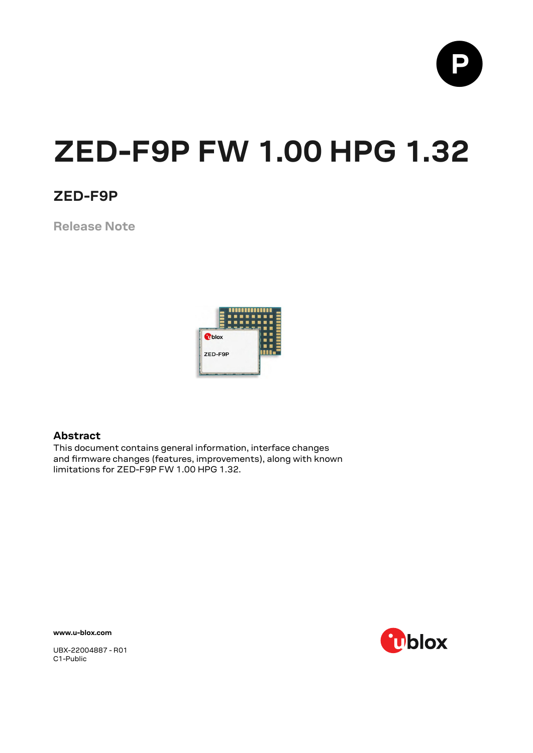

# **ZED-F9P FW 1.00 HPG 1.32**

### **ZED-F9P**

**Release Note**



#### **Abstract**

This document contains general information, interface changes and firmware changes (features, improvements), along with known limitations for ZED-F9P FW 1.00 HPG 1.32.

**www.u-blox.com**



UBX-22004887 - R01 C1-Public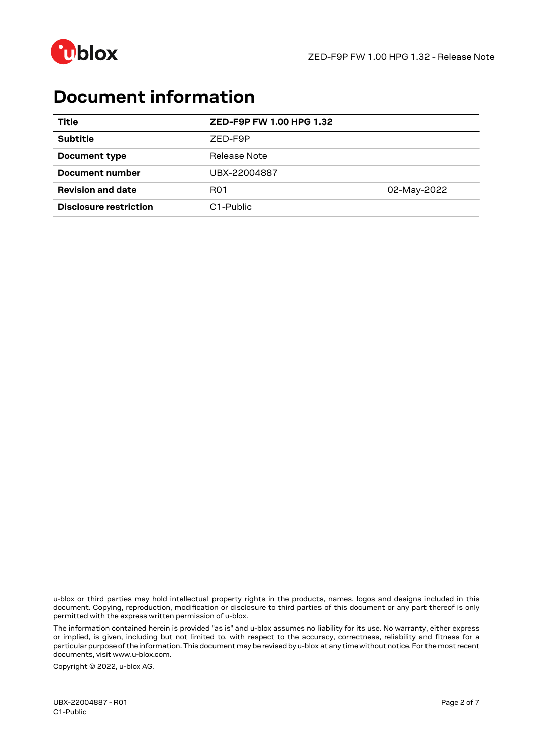

### **Document information**

| Title                    | ZED-F9P FW 1.00 HPG 1.32 |             |
|--------------------------|--------------------------|-------------|
| <b>Subtitle</b>          | ZED-F9P                  |             |
| Document type            | Release Note             |             |
| Document number          | UBX-22004887             |             |
| <b>Revision and date</b> | R <sub>01</sub>          | 02-May-2022 |
| Disclosure restriction   | C <sub>1</sub> -Public   |             |

u-blox or third parties may hold intellectual property rights in the products, names, logos and designs included in this document. Copying, reproduction, modification or disclosure to third parties of this document or any part thereof is only permitted with the express written permission of u-blox.

The information contained herein is provided "as is" and u-blox assumes no liability for its use. No warranty, either express or implied, is given, including but not limited to, with respect to the accuracy, correctness, reliability and fitness for a particular purpose of the information.This document may be revised by u-blox at any time without notice. For the most recent documents, visit www.u-blox.com.

Copyright © 2022, u-blox AG.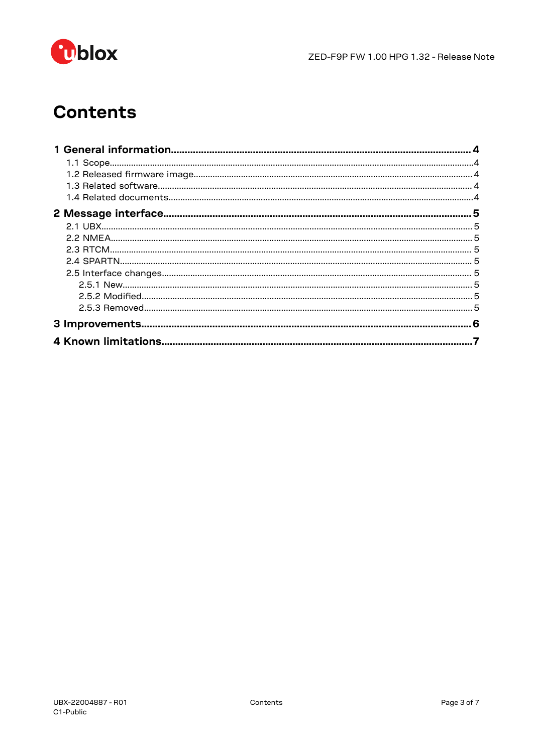

# **Contents**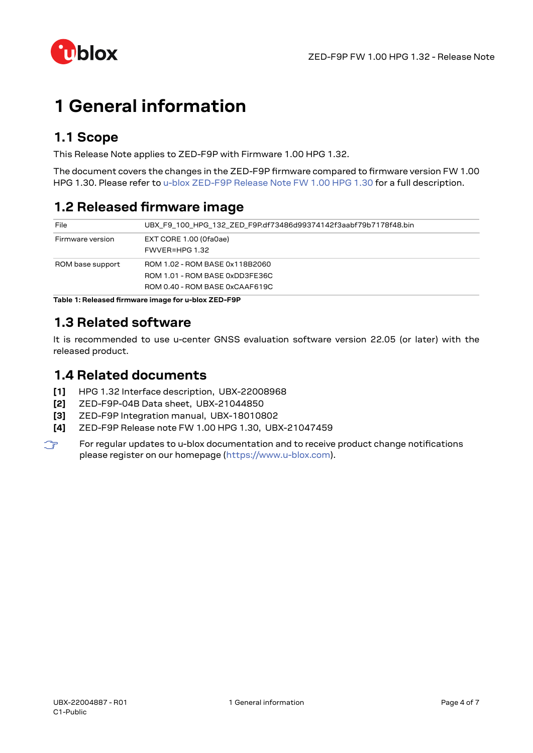

# <span id="page-3-0"></span>**1 General information**

### <span id="page-3-1"></span>**1.1 Scope**

This Release Note applies to ZED-F9P with Firmware 1.00 HPG 1.32.

The document covers the changes in the ZED-F9P firmware compared to firmware version FW 1.00 HPG 1.30. Please refer to u-blox ZED-F9P Release Note [FW 1.00 HPG 1.30](#page-3-5) for a full description.

### <span id="page-3-2"></span>**1.2 Released firmware image**

| File             | UBX F9 100 HPG 132 ZED F9P.df73486d99374142f3aabf79b7178f48.bin                                    |
|------------------|----------------------------------------------------------------------------------------------------|
| Firmware version | EXT CORE 1.00 (Ofa0ae)<br>FWVER=HPG 1.32                                                           |
| ROM base support | ROM 1.02 - ROM BASE 0x118B2060<br>ROM 1.01 - ROM BASE 0xDD3FE36C<br>ROM 0.40 - ROM BASE 0xCAAF619C |

**Table 1: Released firmware image for u-blox ZED-F9P**

### <span id="page-3-3"></span>**1.3 Related software**

It is recommended to use u-center GNSS evaluation software version 22.05 (or later) with the released product.

#### <span id="page-3-4"></span>**1.4 Related documents**

- **[1]** HPG 1.32 Interface description, UBX-22008968
- **[2]** ZED-F9P-04B Data sheet, UBX-21044850
- **[3]** ZED-F9P Integration manual, UBX-18010802
- <span id="page-3-5"></span>**[4]** ZED-F9P Release note FW 1.00 HPG 1.30, UBX-21047459
- $\mathbb{F}$ For regular updates to u-blox documentation and to receive product change notifications please register on our homepage (<https://www.u-blox.com>).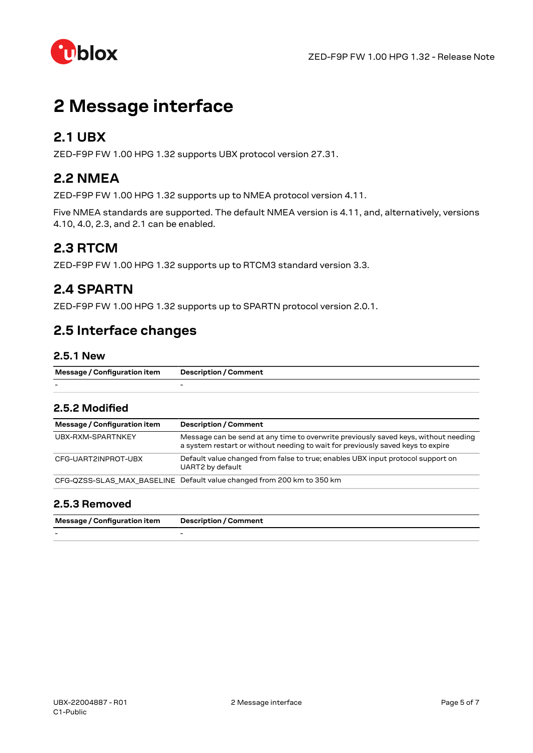

## <span id="page-4-0"></span>**2 Message interface**

#### <span id="page-4-1"></span>**2.1 UBX**

ZED-F9P FW 1.00 HPG 1.32 supports UBX protocol version 27.31.

### <span id="page-4-2"></span>**2.2 NMEA**

ZED-F9P FW 1.00 HPG 1.32 supports up to NMEA protocol version 4.11.

Five NMEA standards are supported. The default NMEA version is 4.11, and, alternatively, versions 4.10, 4.0, 2.3, and 2.1 can be enabled.

#### <span id="page-4-3"></span>**2.3 RTCM**

ZED-F9P FW 1.00 HPG 1.32 supports up to RTCM3 standard version 3.3.

#### <span id="page-4-4"></span>**2.4 SPARTN**

ZED-F9P FW 1.00 HPG 1.32 supports up to SPARTN protocol version 2.0.1.

#### <span id="page-4-5"></span>**2.5 Interface changes**

#### <span id="page-4-6"></span>**2.5.1 New**

| Message / Configuration item | <b>Description / Comment</b> |
|------------------------------|------------------------------|
| -                            |                              |

#### <span id="page-4-7"></span>**2.5.2 Modified**

| Message / Configuration item | <b>Description / Comment</b>                                                                                                                                           |
|------------------------------|------------------------------------------------------------------------------------------------------------------------------------------------------------------------|
| UBX-RXM-SPARTNKEY            | Message can be send at any time to overwrite previously saved keys, without needing<br>a system restart or without needing to wait for previously saved keys to expire |
| CFG-UART2INPROT-UBX          | Default value changed from false to true; enables UBX input protocol support on<br>UART2 by default                                                                    |
|                              | CFG-QZSS-SLAS MAX BASELINE Default value changed from 200 km to 350 km                                                                                                 |

#### <span id="page-4-8"></span>**2.5.3 Removed**

| Message / Configuration item | <b>Description / Comment</b> |
|------------------------------|------------------------------|
| $\overline{\phantom{0}}$     | -                            |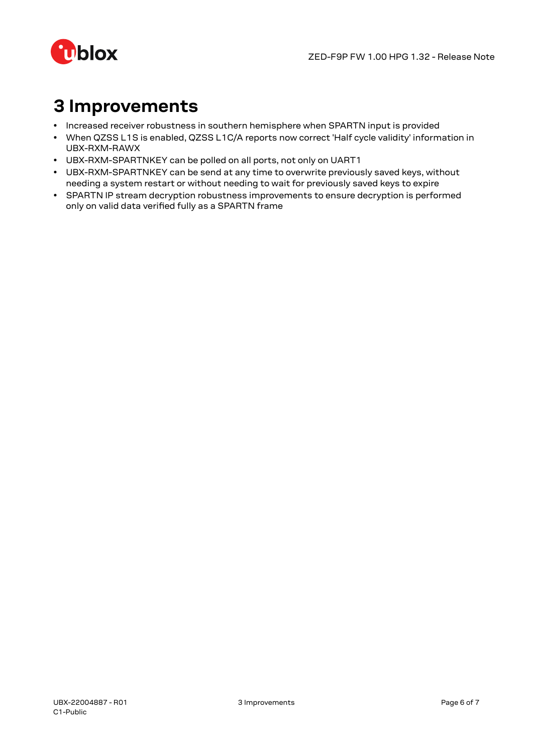

# <span id="page-5-0"></span>**3 Improvements**

- Increased receiver robustness in southern hemisphere when SPARTN input is provided
- When QZSS L1S is enabled, QZSS L1C/A reports now correct 'Half cycle validity' information in UBX-RXM-RAWX
- UBX-RXM-SPARTNKEY can be polled on all ports, not only on UART1
- UBX-RXM-SPARTNKEY can be send at any time to overwrite previously saved keys, without needing a system restart or without needing to wait for previously saved keys to expire
- SPARTN IP stream decryption robustness improvements to ensure decryption is performed only on valid data verified fully as a SPARTN frame